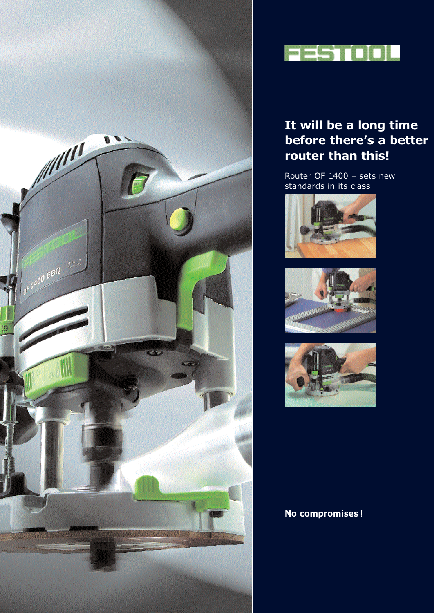



## **It will be a long time before there's a better router than this!**

Router OF 1400 – sets new standards in its class







### **No compromises !**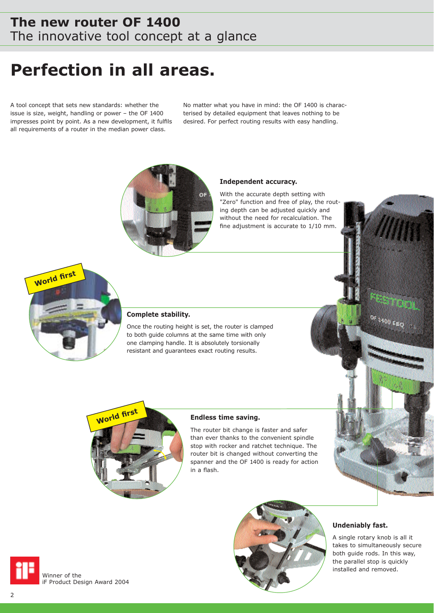### **The new router OF 1400** The innovative tool concept at a glance

# **Perfection in all areas.**

A tool concept that sets new standards: whether the issue is size, weight, handling or power – the OF 1400 impresses point by point. As a new development, it fulfils all requirements of a router in the median power class.

No matter what you have in mind: the OF 1400 is characterised by detailed equipment that leaves nothing to be desired. For perfect routing results with easy handling.



#### **Independent accuracy.**

With the accurate depth setting with "Zero" function and free of play, the routing depth can be adjusted quickly and without the need for recalculation. The fine adjustment is accurate to 1/10 mm.



#### **Complete stability.**

Once the routing height is set, the router is clamped to both guide columns at the same time with only one clamping handle. It is absolutely torsionally resistant and guarantees exact routing results.



#### **Endless time saving.**

The router bit change is faster and safer than ever thanks to the convenient spindle stop with rocker and ratchet technique. The router bit is changed without converting the spanner and the OF 1400 is ready for action in a flash.



#### **Undeniably fast.**

A single rotary knob is all it takes to simultaneously secure both guide rods. In this way, the parallel stop is quickly installed and removed.

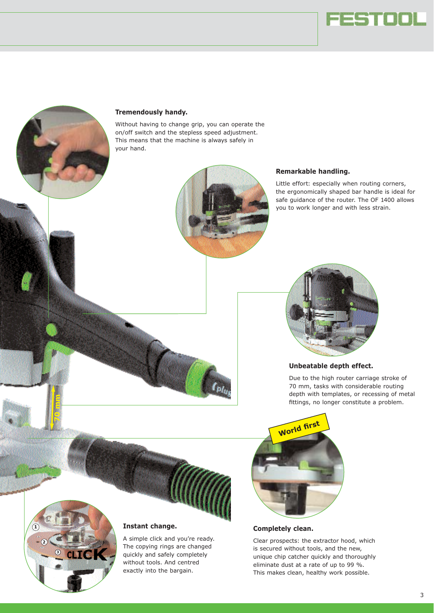



#### **Tremendously handy.**

Without having to change grip, you can operate the on/off switch and the stepless speed adjustment. This means that the machine is always safely in your hand.



#### **Remarkable handling.**

Little effort: especially when routing corners, the ergonomically shaped bar handle is ideal for safe guidance of the router. The OF 1400 allows you to work longer and with less strain.



#### **Unbeatable depth effect.**

Due to the high router carriage stroke of 70 mm, tasks with considerable routing depth with templates, or recessing of metal fittings, no longer constitute a problem.





**70 mm**

### **Instant change.**

A simple click and you're ready. The copying rings are changed quickly and safely completely without tools. And centred exactly into the bargain.

#### **Completely clean.**

Clear prospects: the extractor hood, which is secured without tools, and the new, unique chip catcher quickly and thoroughly eliminate dust at a rate of up to 99 %. This makes clean, healthy work possible.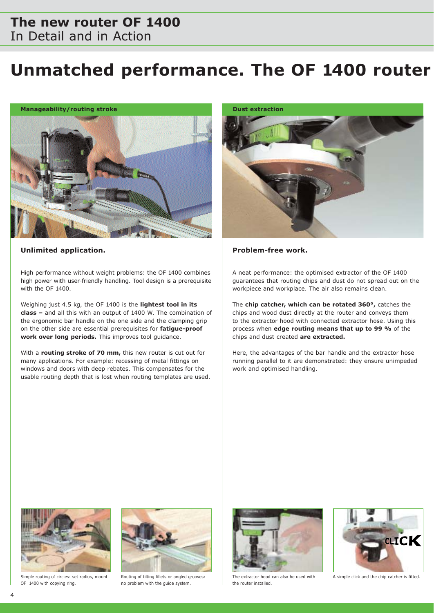### **The new router OF 1400** In Detail and in Action

# **Unmatched performance. The OF 1400 router**



#### Unlimited application. **All and Solution Controls and Solution** Problem-free work.

High performance without weight problems: the OF 1400 combines high power with user-friendly handling. Tool design is a prerequisite with the OF 1400.

Weighing just 4.5 kg, the OF 1400 is the **lightest tool in its class –** and all this with an output of 1400 W. The combination of the ergonomic bar handle on the one side and the clamping grip on the other side are essential prerequisites for **fatigue-proof work over long periods.** This improves tool guidance.

With a **routing stroke of 70 mm,** this new router is cut out for many applications. For example: recessing of metal fittings on windows and doors with deep rebates. This compensates for the usable routing depth that is lost when routing templates are used.



A neat performance: the optimised extractor of the OF 1400 guarantees that routing chips and dust do not spread out on the workpiece and workplace. The air also remains clean.

The **chip catcher, which can be rotated 360°,** catches the chips and wood dust directly at the router and conveys them to the extractor hood with connected extractor hose. Using this process when **edge routing means that up to 99 %** of the chips and dust created **are extracted.**

Here, the advantages of the bar handle and the extractor hose running parallel to it are demonstrated: they ensure unimpeded work and optimised handling.



Simple routing of circles: set radius, mount OF 1400 with copying ring.



Routing of tilting fillets or angled grooves: no problem with the guide system.



The extractor hood can also be used with the router installed.



A simple click and the chip catcher is fitted.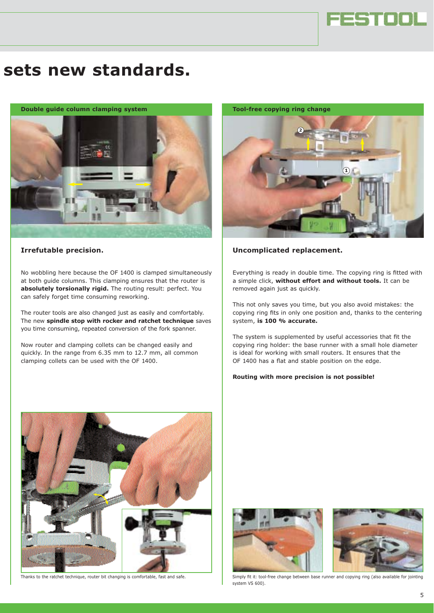

# **sets new standards.**

**Double guide column clamping system**



#### **Irrefutable precision.**

No wobbling here because the OF 1400 is clamped simultaneously at both guide columns. This clamping ensures that the router is **absolutely torsionally rigid.** The routing result: perfect. You can safely forget time consuming reworking.

The router tools are also changed just as easily and comfortably. The new **spindle stop with rocker and ratchet technique** saves you time consuming, repeated conversion of the fork spanner.

Now router and clamping collets can be changed easily and quickly. In the range from 6.35 mm to 12.7 mm, all common clamping collets can be used with the OF 1400.



#### **Uncomplicated replacement.**

Everything is ready in double time. The copying ring is fitted with a simple click, **without effort and without tools.** It can be removed again just as quickly.

This not only saves you time, but you also avoid mistakes: the copying ring fits in only one position and, thanks to the centering system, **is 100 % accurate.**

The system is supplemented by useful accessories that fit the copying ring holder: the base runner with a small hole diameter is ideal for working with small routers. It ensures that the OF 1400 has a flat and stable position on the edge.

#### **Routing with more precision is not possible!**







Thanks to the ratchet technique, router bit changing is comfortable, fast and safe. Simply fit it: tool-free change between base runner and copying ring (also available for jointing system VS 600).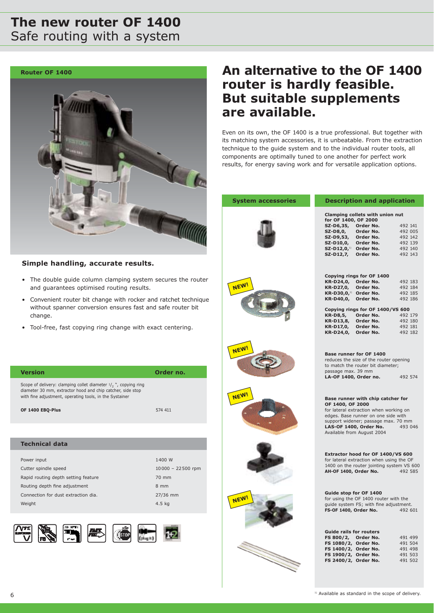### **The new router OF 1400** Safe routing with a system

**Router OF 1400**



#### **Simple handling, accurate results.**

- The double guide column clamping system secures the router and guarantees optimised routing results.
- Convenient router bit change with rocker and ratchet technique without spanner conversion ensures fast and safe router bit change.
- Tool-free, fast copying ring change with exact centering.

| <b>Version</b>                                                                                                                                                                                                   | Order no. |
|------------------------------------------------------------------------------------------------------------------------------------------------------------------------------------------------------------------|-----------|
| Scope of delivery: clamping collet diameter $1/2$ , ", copying ring<br>diameter 30 mm, extractor hood and chip catcher, side stop<br>with fine adjustment, operating tools, in the Systainer<br>OF 1400 EBO-Plus | 574 411   |
|                                                                                                                                                                                                                  |           |
|                                                                                                                                                                                                                  |           |
| <b>Technical data</b>                                                                                                                                                                                            |           |
|                                                                                                                                                                                                                  |           |

| Power input                         | 1400 W              |
|-------------------------------------|---------------------|
| Cutter spindle speed                | $10000 - 22500$ rpm |
| Rapid routing depth setting feature | 70 mm               |
| Routing depth fine adjustment       | $8 \, \text{mm}$    |
| Connection for dust extraction dia. | 27/36 mm            |
| Weight                              | $4.5$ kg            |
|                                     |                     |







## **An alternative to the OF 1400 router is hardly feasible. But suitable supplements are available.**

Even on its own, the OF 1400 is a true professional. But together with its matching system accessories, it is unbeatable. From the extraction technique to the guide system and to the individual router tools, all components are optimally tuned to one another for perfect work results, for energy saving work and for versatile application options.

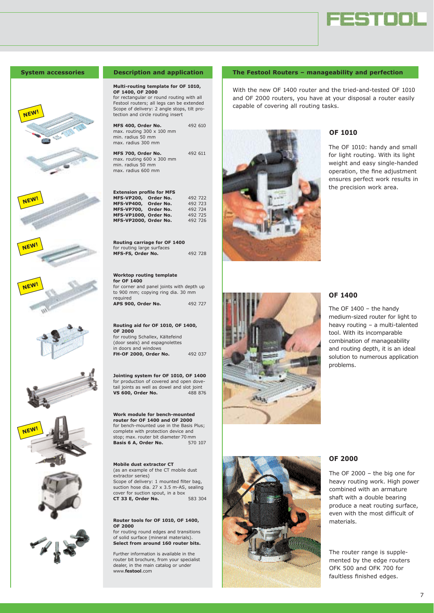















#### **System accessories Description and application**

#### **Multi-routing template for OF 1010, OF 1400, OF 2000**

for rectangular or round routing with all Festool routers; all legs can be extended Scope of delivery: 2 angle stops, tilt protection and circle routing insert

**MFS 400, Order No.** 492 610 max. routing 300 x 100 mm min. radius 50 mm max. radius 300 mm

**MFS 700, Order No.** 492 611 max. routing 600 x 300 mm min. radius 50 mm max. radius 600 mm

#### **Extension profile for MFS MFS-VP200, Order No.** 492 722

| MFS-VP400, Order No.  | 492 723 |
|-----------------------|---------|
| MFS-VP700, Order No.  | 492 724 |
| MFS-VP1000, Order No. | 492 725 |
| MFS-VP2000, Order No. | 492 726 |

**Routing carriage for OF 1400** for routing large surfaces **MFS-FS, Order No.** 492 728

#### **Worktop routing template for OF 1400**

for corner and panel joints with depth up to 900 mm; copying ring dia. 30 mm required **APS 900, Order No.** 492 727

**Routing aid for OF 1010, OF 1400, OF 2000** for routing Schallex, Kältefeind (door seals) and espagnolettes

in doors and windows **FH-OF 2000, Order No.** 492 037

**Jointing system for OF 1010, OF 1400** for production of covered and open dovetail joints as well as dowel and slot joint  $VS$  600. Order No. 488 876 **VS** 600, Order No.

#### **Work module for bench-mounted router for OF 1400 and OF 2000** for bench-mounted use in the Basis Plus; complete with protection device and stop; max. router bit diameter 70 mm<br>Basis 6 A. Order No. 570 107

**Basis 6 A, Order No.** 

#### **Mobile dust extractor CT**

(as an example of the CT mobile dust extractor series) Scope of delivery: 1 mounted filter bag, suction hose dia. 27 x 3.5 m-AS, sealing cover for suction spout, in a box **CT 33 E, Order No.** 583 304

#### **Router tools for OF 1010, OF 1400, OF 2000**

for routing round edges and transitions of solid surface (mineral materials). **Select from around 160 router bits.**

Further information is available in the router bit brochure, from your specialist dealer, in the main catalog or under www.**festool**.com

#### **The Festool Routers – manageability and perfection**

With the new OF 1400 router and the tried-and-tested OF 1010 and OF 2000 routers, you have at your disposal a router easily capable of covering all routing tasks.



#### **OF 1010**

The OF 1010: handy and small for light routing. With its light weight and easy single-handed operation, the fine adjustment ensures perfect work results in the precision work area.



#### **OF 1400**

The OF 1400 – the handy medium-sized router for light to heavy routing – a multi-talented tool. With its incomparable combination of manageability and routing depth, it is an ideal solution to numerous application problems.



#### **OF 2000**

The OF 2000 – the big one for heavy routing work. High power combined with an armature shaft with a double bearing produce a neat routing surface, even with the most difficult of materials.

The router range is supplemented by the edge routers OFK 500 and OFK 700 for faultless finished edges.